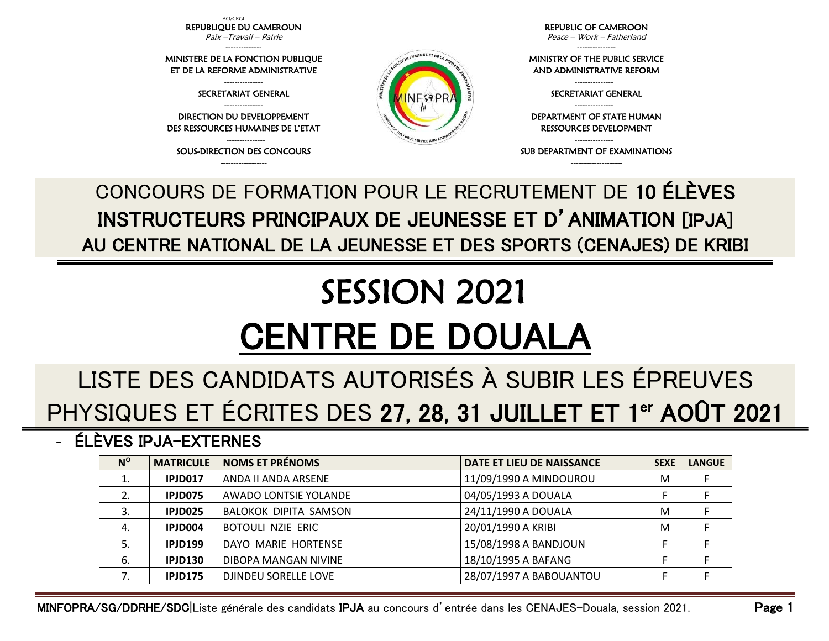AO/CBGI REPUBLIQUE DU CAMEROUN Paix –Travail – Patrie

-------------- MINISTERE DE LA FONCTION PUBLIQUE ET DE LA REFORME ADMINISTRATIVE --------------- SECRETARIAT GENERAL --------------- DIRECTION DU DEVELOPPEMENT DES RESSOURCES HUMAINES DE L'ETAT ---------------

------------------

REPUBLIC OF CAMEROON Peace – Work – Fatherland

---------------

MINISTRY OF THE PUBLIC SERVICE AND ADMINISTRATIVE REFORM

> --------------- SECRETARIAT GENERAL ---------------

DEPARTMENT OF STATE HUMAN RESSOURCES DEVELOPMENT

--------------- SUB DEPARTMENT OF EXAMINATIONS

SOUS-DIRECTION DES CONCOURS -------------------- CONCOURS DE FORMATION POUR LE RECRUTEMENT DE 10 ÉLÈVES

INSTRUCTEURS PRINCIPAUX DE JEUNESSE ET D'ANIMATION [IPJA] AU CENTRE NATIONAL DE LA JEUNESSE ET DES SPORTS (CENAJES) DE KRIBI

N PUBLIQUE ET DE LA

SERVICE A

## SESSION 2021 CENTRE DE DOUALA

## LISTE DES CANDIDATS AUTORISÉS À SUBIR LES ÉPREUVES PHYSIQUES ET ÉCRITES DES 27, 28, 31 JUILLET ET 1<sup>er</sup> AOÛT 2021

- ÉLÈVES IPJA-EXTERNES

| $N^{\rm o}$ | <b>MATRICULE</b> | <b>NOMS ET PRÉNOMS</b>   | DATE ET LIEU DE NAISSANCE | <b>SEXE</b> | <b>LANGUE</b> |
|-------------|------------------|--------------------------|---------------------------|-------------|---------------|
|             | IPJD017          | ANDA II ANDA ARSENE      | 11/09/1990 A MINDOUROU    | M           |               |
| 2.          | IPJD075          | AWADO LONTSIE YOLANDE    | 04/05/1993 A DOUALA       |             |               |
|             | IPJD025          | BALOKOK DIPITA SAMSON    | 24/11/1990 A DOUALA       | M           |               |
| 4.          | IPJD004          | <b>BOTOULI NZIE ERIC</b> | 20/01/1990 A KRIBI        | M           |               |
| 5.          | <b>IPJD199</b>   | DAYO MARIE HORTENSE      | 15/08/1998 A BANDJOUN     |             |               |
| 6.          | <b>IPJD130</b>   | DIBOPA MANGAN NIVINE     | 18/10/1995 A BAFANG       |             |               |
|             | <b>IPJD175</b>   | DJINDEU SORELLE LOVE     | 28/07/1997 A BABOUANTOU   |             |               |